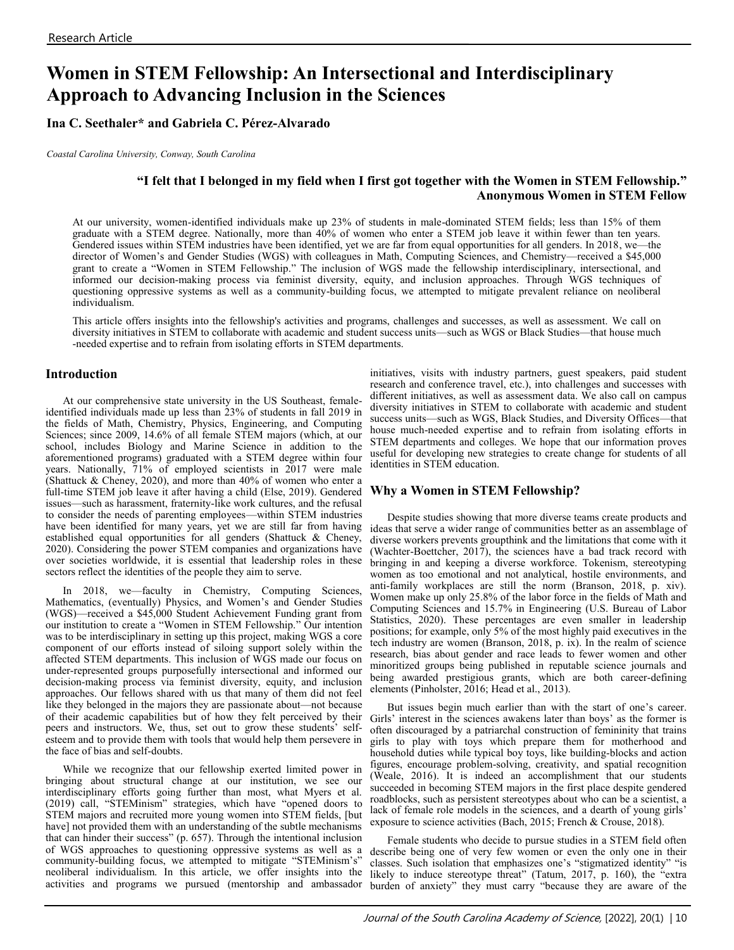# **Women in STEM Fellowship: An Intersectional and Interdisciplinary Approach to Advancing Inclusion in the Sciences**

**Ina C. Seethaler\* and Gabriela C. Pérez-Alvarado** 

*Coastal Carolina University, Conway, South Carolina* 

# **"I felt that I belonged in my field when I first got together with the Women in STEM Fellowship." Anonymous Women in STEM Fellow**

At our university, women-identified individuals make up 23% of students in male-dominated STEM fields; less than 15% of them graduate with a STEM degree. Nationally, more than 40% of women who enter a STEM job leave it within fewer than ten years. Gendered issues within STEM industries have been identified, yet we are far from equal opportunities for all genders. In 2018, we—the director of Women's and Gender Studies (WGS) with colleagues in Math, Computing Sciences, and Chemistry—received a \$45,000 grant to create a "Women in STEM Fellowship." The inclusion of WGS made the fellowship interdisciplinary, intersectional, and informed our decision-making process via feminist diversity, equity, and inclusion approaches. Through WGS techniques of questioning oppressive systems as well as a community-building focus, we attempted to mitigate prevalent reliance on neoliberal individualism.

This article offers insights into the fellowship's activities and programs, challenges and successes, as well as assessment. We call on diversity initiatives in STEM to collaborate with academic and student success units—such as WGS or Black Studies—that house much -needed expertise and to refrain from isolating efforts in STEM departments.

## **Introduction**

At our comprehensive state university in the US Southeast, femaleidentified individuals made up less than 23% of students in fall 2019 in the fields of Math, Chemistry, Physics, Engineering, and Computing Sciences; since 2009, 14.6% of all female STEM majors (which, at our school, includes Biology and Marine Science in addition to the aforementioned programs) graduated with a STEM degree within four years. Nationally, 71% of employed scientists in 2017 were male (Shattuck & Cheney, 2020), and more than 40% of women who enter a full-time STEM job leave it after having a child (Else, 2019). Gendered issues—such as harassment, fraternity-like work cultures, and the refusal to consider the needs of parenting employees—within STEM industries have been identified for many years, yet we are still far from having established equal opportunities for all genders (Shattuck & Cheney, 2020). Considering the power STEM companies and organizations have over societies worldwide, it is essential that leadership roles in these sectors reflect the identities of the people they aim to serve.

In 2018, we—faculty in Chemistry, Computing Sciences, Mathematics, (eventually) Physics, and Women's and Gender Studies (WGS)—received a \$45,000 Student Achievement Funding grant from our institution to create a "Women in STEM Fellowship." Our intention was to be interdisciplinary in setting up this project, making WGS a core component of our efforts instead of siloing support solely within the affected STEM departments. This inclusion of WGS made our focus on under-represented groups purposefully intersectional and informed our decision-making process via feminist diversity, equity, and inclusion approaches. Our fellows shared with us that many of them did not feel like they belonged in the majors they are passionate about—not because of their academic capabilities but of how they felt perceived by their peers and instructors. We, thus, set out to grow these students' selfesteem and to provide them with tools that would help them persevere in the face of bias and self-doubts.

While we recognize that our fellowship exerted limited power in bringing about structural change at our institution, we see our interdisciplinary efforts going further than most, what Myers et al. (2019) call, "STEMinism" strategies, which have "opened doors to STEM majors and recruited more young women into STEM fields, [but have] not provided them with an understanding of the subtle mechanisms that can hinder their success" (p. 657). Through the intentional inclusion of WGS approaches to questioning oppressive systems as well as a community-building focus, we attempted to mitigate "STEMinism's" neoliberal individualism. In this article, we offer insights into the activities and programs we pursued (mentorship and ambassador

initiatives, visits with industry partners, guest speakers, paid student research and conference travel, etc.), into challenges and successes with different initiatives, as well as assessment data. We also call on campus diversity initiatives in STEM to collaborate with academic and student success units—such as WGS, Black Studies, and Diversity Offices—that house much-needed expertise and to refrain from isolating efforts in STEM departments and colleges. We hope that our information proves useful for developing new strategies to create change for students of all identities in STEM education.

### **Why a Women in STEM Fellowship?**

Despite studies showing that more diverse teams create products and ideas that serve a wider range of communities better as an assemblage of diverse workers prevents groupthink and the limitations that come with it (Wachter-Boettcher, 2017), the sciences have a bad track record with bringing in and keeping a diverse workforce. Tokenism, stereotyping women as too emotional and not analytical, hostile environments, and anti-family workplaces are still the norm (Branson, 2018, p. xiv). Women make up only 25.8% of the labor force in the fields of Math and Computing Sciences and 15.7% in Engineering (U.S. Bureau of Labor Statistics, 2020). These percentages are even smaller in leadership positions; for example, only 5% of the most highly paid executives in the tech industry are women (Branson, 2018, p. ix). In the realm of science research, bias about gender and race leads to fewer women and other minoritized groups being published in reputable science journals and being awarded prestigious grants, which are both career-defining elements (Pinholster, 2016; Head et al., 2013).

But issues begin much earlier than with the start of one's career. Girls' interest in the sciences awakens later than boys' as the former is often discouraged by a patriarchal construction of femininity that trains girls to play with toys which prepare them for motherhood and household duties while typical boy toys, like building-blocks and action figures, encourage problem-solving, creativity, and spatial recognition (Weale, 2016). It is indeed an accomplishment that our students succeeded in becoming STEM majors in the first place despite gendered roadblocks, such as persistent stereotypes about who can be a scientist, a lack of female role models in the sciences, and a dearth of young girls' exposure to science activities (Bach, 2015; French & Crouse, 2018).

Female students who decide to pursue studies in a STEM field often describe being one of very few women or even the only one in their classes. Such isolation that emphasizes one's "stigmatized identity" "is likely to induce stereotype threat" (Tatum, 2017, p. 160), the "extra burden of anxiety" they must carry "because they are aware of the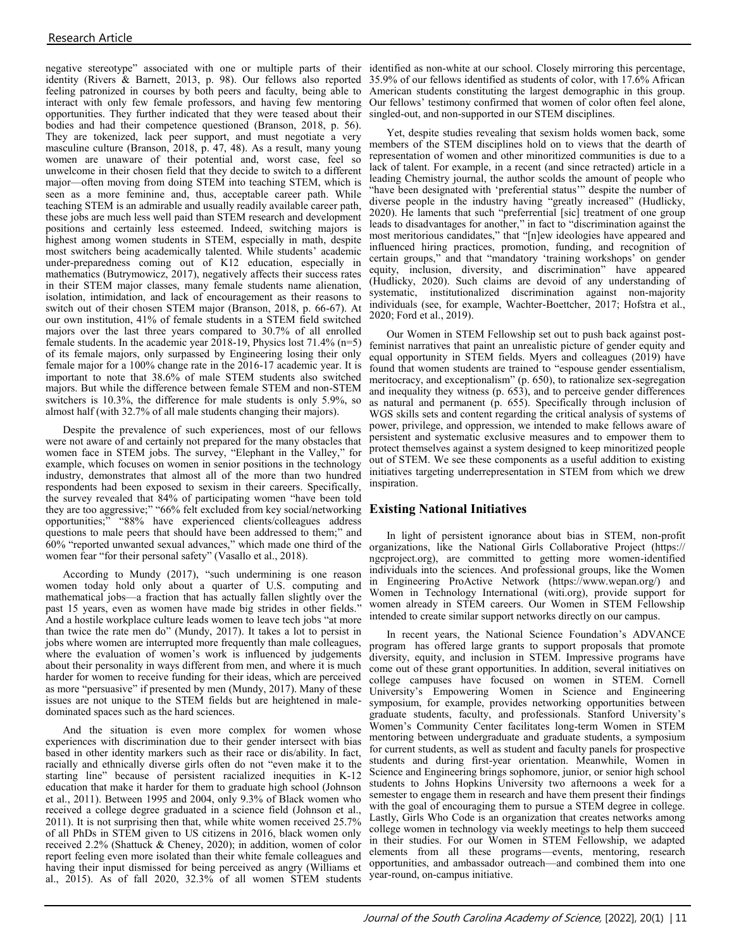negative stereotype" associated with one or multiple parts of their identified as non-white at our school. Closely mirroring this percentage, identity (Rivers & Barnett, 2013, p. 98). Our fellows also reported 35.9% of our fellows identified as students of color, with 17.6% African feeling patronized in courses by both peers and faculty, being able to American students constituting the largest demographic in this group. interact with only few female professors, and having few mentoring Our fellows' testimony confirmed that women of color often feel alone, opportunities. They further indicated that they were teased about their singled-out, and non-supported in our STEM disciplines. bodies and had their competence questioned (Branson, 2018, p. 56). They are tokenized, lack peer support, and must negotiate a very masculine culture (Branson, 2018, p. 47, 48). As a result, many young women are unaware of their potential and, worst case, feel so unwelcome in their chosen field that they decide to switch to a different major—often moving from doing STEM into teaching STEM, which is seen as a more feminine and, thus, acceptable career path. While teaching STEM is an admirable and usually readily available career path, these jobs are much less well paid than STEM research and development positions and certainly less esteemed. Indeed, switching majors is highest among women students in STEM, especially in math, despite most switchers being academically talented. While students' academic under-preparedness coming out of K12 education, especially in mathematics (Butrymowicz, 2017), negatively affects their success rates in their STEM major classes, many female students name alienation, isolation, intimidation, and lack of encouragement as their reasons to switch out of their chosen STEM major (Branson, 2018, p. 66-67). At our own institution, 41% of female students in a STEM field switched majors over the last three years compared to 30.7% of all enrolled female students. In the academic year  $2018-19$ , Physics lost 71.4% (n=5) of its female majors, only surpassed by Engineering losing their only female major for a 100% change rate in the 2016-17 academic year. It is important to note that 38.6% of male STEM students also switched majors. But while the difference between female STEM and non-STEM switchers is 10.3%, the difference for male students is only 5.9%, so almost half (with 32.7% of all male students changing their majors).

Despite the prevalence of such experiences, most of our fellows were not aware of and certainly not prepared for the many obstacles that women face in STEM jobs. The survey, "Elephant in the Valley," for example, which focuses on women in senior positions in the technology industry, demonstrates that almost all of the more than two hundred respondents had been exposed to sexism in their careers. Specifically, the survey revealed that 84% of participating women "have been told they are too aggressive;" "66% felt excluded from key social/networking opportunities;" "88% have experienced clients/colleagues address questions to male peers that should have been addressed to them;" and 60% "reported unwanted sexual advances," which made one third of the women fear "for their personal safety" (Vasallo et al., 2018).

According to Mundy (2017), "such undermining is one reason women today hold only about a quarter of U.S. computing and mathematical jobs—a fraction that has actually fallen slightly over the past 15 years, even as women have made big strides in other fields." And a hostile workplace culture leads women to leave tech jobs "at more than twice the rate men do" (Mundy, 2017). It takes a lot to persist in jobs where women are interrupted more frequently than male colleagues, where the evaluation of women's work is influenced by judgements about their personality in ways different from men, and where it is much harder for women to receive funding for their ideas, which are perceived as more "persuasive" if presented by men (Mundy, 2017). Many of these issues are not unique to the STEM fields but are heightened in maledominated spaces such as the hard sciences.

And the situation is even more complex for women whose experiences with discrimination due to their gender intersect with bias based in other identity markers such as their race or dis/ability. In fact, racially and ethnically diverse girls often do not "even make it to the starting line" because of persistent racialized inequities in K-12 education that make it harder for them to graduate high school (Johnson et al., 2011). Between 1995 and 2004, only 9.3% of Black women who received a college degree graduated in a science field (Johnson et al., 2011). It is not surprising then that, while white women received 25.7% of all PhDs in STEM given to US citizens in 2016, black women only received 2.2% (Shattuck & Cheney, 2020); in addition, women of color report feeling even more isolated than their white female colleagues and having their input dismissed for being perceived as angry (Williams et al., 2015). As of fall 2020, 32.3% of all women STEM students

Yet, despite studies revealing that sexism holds women back, some members of the STEM disciplines hold on to views that the dearth of representation of women and other minoritized communities is due to a lack of talent. For example, in a recent (and since retracted) article in a leading Chemistry journal, the author scolds the amount of people who "have been designated with 'preferential status'" despite the number of diverse people in the industry having "greatly increased" (Hudlicky, 2020). He laments that such "preferrential [sic] treatment of one group leads to disadvantages for another," in fact to "discrimination against the most meritorious candidates," that "[n]ew ideologies have appeared and influenced hiring practices, promotion, funding, and recognition of certain groups," and that "mandatory 'training workshops' on gender equity, inclusion, diversity, and discrimination" have appeared (Hudlicky, 2020). Such claims are devoid of any understanding of systematic, institutionalized discrimination against non-majority individuals (see, for example, Wachter-Boettcher, 2017; Hofstra et al., 2020; Ford et al., 2019).

Our Women in STEM Fellowship set out to push back against postfeminist narratives that paint an unrealistic picture of gender equity and equal opportunity in STEM fields. Myers and colleagues (2019) have found that women students are trained to "espouse gender essentialism, meritocracy, and exceptionalism" (p. 650), to rationalize sex-segregation and inequality they witness (p. 653), and to perceive gender differences as natural and permanent (p. 655). Specifically through inclusion of WGS skills sets and content regarding the critical analysis of systems of power, privilege, and oppression, we intended to make fellows aware of persistent and systematic exclusive measures and to empower them to protect themselves against a system designed to keep minoritized people out of STEM. We see these components as a useful addition to existing initiatives targeting underrepresentation in STEM from which we drew inspiration.

### **Existing National Initiatives**

In light of persistent ignorance about bias in STEM, non-profit organizations, like the National Girls Collaborative Project (https:// ngcproject.org), are committed to getting more women-identified individuals into the sciences. And professional groups, like the Women in Engineering ProActive Network (https://www.wepan.org/) and Women in Technology International (witi.org), provide support for women already in STEM careers. Our Women in STEM Fellowship intended to create similar support networks directly on our campus.

In recent years, the National Science Foundation's ADVANCE program has offered large grants to support proposals that promote diversity, equity, and inclusion in STEM. Impressive programs have come out of these grant opportunities. In addition, several initiatives on college campuses have focused on women in STEM. Cornell University's Empowering Women in Science and Engineering symposium, for example, provides networking opportunities between graduate students, faculty, and professionals. Stanford University's Women's Community Center facilitates long-term Women in STEM mentoring between undergraduate and graduate students, a symposium for current students, as well as student and faculty panels for prospective students and during first-year orientation. Meanwhile, Women in Science and Engineering brings sophomore, junior, or senior high school students to Johns Hopkins University two afternoons a week for a semester to engage them in research and have them present their findings with the goal of encouraging them to pursue a STEM degree in college. Lastly, Girls Who Code is an organization that creates networks among college women in technology via weekly meetings to help them succeed in their studies. For our Women in STEM Fellowship, we adapted elements from all these programs—events, mentoring, research opportunities, and ambassador outreach—and combined them into one year-round, on-campus initiative.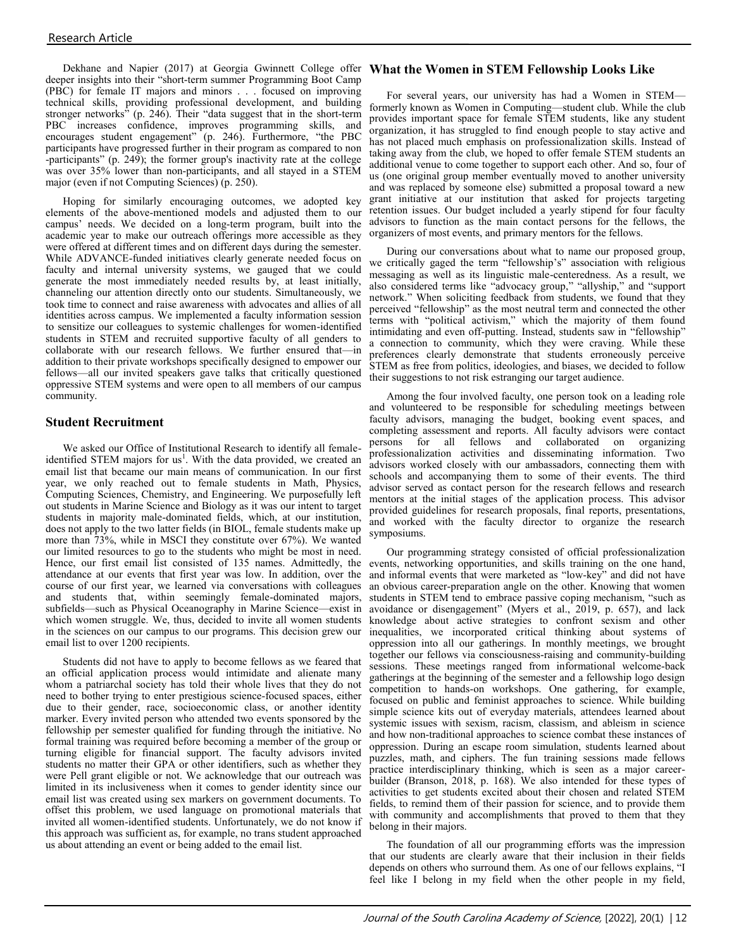Dekhane and Napier (2017) at Georgia Gwinnett College offer **What the Women in STEM Fellowship Looks Like** deeper insights into their "short-term summer Programming Boot Camp (PBC) for female IT majors and minors . . . focused on improving technical skills, providing professional development, and building stronger networks" (p. 246). Their "data suggest that in the short-term PBC increases confidence, improves programming skills, and encourages student engagement" (p. 246). Furthermore, "the PBC participants have progressed further in their program as compared to non -participants" (p. 249); the former group's inactivity rate at the college was over 35% lower than non-participants, and all stayed in a STEM major (even if not Computing Sciences) (p. 250).

Hoping for similarly encouraging outcomes, we adopted key elements of the above-mentioned models and adjusted them to our campus' needs. We decided on a long-term program, built into the academic year to make our outreach offerings more accessible as they were offered at different times and on different days during the semester. While ADVANCE-funded initiatives clearly generate needed focus on faculty and internal university systems, we gauged that we could generate the most immediately needed results by, at least initially, channeling our attention directly onto our students. Simultaneously, we took time to connect and raise awareness with advocates and allies of all identities across campus. We implemented a faculty information session to sensitize our colleagues to systemic challenges for women-identified students in STEM and recruited supportive faculty of all genders to collaborate with our research fellows. We further ensured that—in addition to their private workshops specifically designed to empower our fellows—all our invited speakers gave talks that critically questioned oppressive STEM systems and were open to all members of our campus community.

### **Student Recruitment**

We asked our Office of Institutional Research to identify all femaleidentified STEM majors for us<sup>1</sup>. With the data provided, we created an email list that became our main means of communication. In our first year, we only reached out to female students in Math, Physics, Computing Sciences, Chemistry, and Engineering. We purposefully left out students in Marine Science and Biology as it was our intent to target students in majority male-dominated fields, which, at our institution, does not apply to the two latter fields (in BIOL, female students make up more than 73%, while in MSCI they constitute over 67%). We wanted our limited resources to go to the students who might be most in need. Hence, our first email list consisted of 135 names. Admittedly, the attendance at our events that first year was low. In addition, over the course of our first year, we learned via conversations with colleagues and students that, within seemingly female-dominated majors, subfields—such as Physical Oceanography in Marine Science—exist in which women struggle. We, thus, decided to invite all women students in the sciences on our campus to our programs. This decision grew our email list to over 1200 recipients.

Students did not have to apply to become fellows as we feared that an official application process would intimidate and alienate many whom a patriarchal society has told their whole lives that they do not need to bother trying to enter prestigious science-focused spaces, either due to their gender, race, socioeconomic class, or another identity marker. Every invited person who attended two events sponsored by the fellowship per semester qualified for funding through the initiative. No formal training was required before becoming a member of the group or turning eligible for financial support. The faculty advisors invited students no matter their GPA or other identifiers, such as whether they were Pell grant eligible or not. We acknowledge that our outreach was limited in its inclusiveness when it comes to gender identity since our email list was created using sex markers on government documents. To offset this problem, we used language on promotional materials that invited all women-identified students. Unfortunately, we do not know if this approach was sufficient as, for example, no trans student approached us about attending an event or being added to the email list.

For several years, our university has had a Women in STEM formerly known as Women in Computing—student club. While the club provides important space for female STEM students, like any student organization, it has struggled to find enough people to stay active and has not placed much emphasis on professionalization skills. Instead of taking away from the club, we hoped to offer female STEM students an additional venue to come together to support each other. And so, four of us (one original group member eventually moved to another university and was replaced by someone else) submitted a proposal toward a new grant initiative at our institution that asked for projects targeting retention issues. Our budget included a yearly stipend for four faculty advisors to function as the main contact persons for the fellows, the organizers of most events, and primary mentors for the fellows.

During our conversations about what to name our proposed group, we critically gaged the term "fellowship's" association with religious messaging as well as its linguistic male-centeredness. As a result, we also considered terms like "advocacy group," "allyship," and "support network." When soliciting feedback from students, we found that they perceived "fellowship" as the most neutral term and connected the other terms with "political activism," which the majority of them found intimidating and even off-putting. Instead, students saw in "fellowship" a connection to community, which they were craving. While these preferences clearly demonstrate that students erroneously perceive STEM as free from politics, ideologies, and biases, we decided to follow their suggestions to not risk estranging our target audience.

Among the four involved faculty, one person took on a leading role and volunteered to be responsible for scheduling meetings between faculty advisors, managing the budget, booking event spaces, and completing assessment and reports. All faculty advisors were contact persons for all fellows and collaborated on organizing professionalization activities and disseminating information. Two advisors worked closely with our ambassadors, connecting them with schools and accompanying them to some of their events. The third advisor served as contact person for the research fellows and research mentors at the initial stages of the application process. This advisor provided guidelines for research proposals, final reports, presentations, and worked with the faculty director to organize the research symposiums.

Our programming strategy consisted of official professionalization events, networking opportunities, and skills training on the one hand, and informal events that were marketed as "low-key" and did not have an obvious career-preparation angle on the other. Knowing that women students in STEM tend to embrace passive coping mechanism, "such as avoidance or disengagement" (Myers et al., 2019, p. 657), and lack knowledge about active strategies to confront sexism and other inequalities, we incorporated critical thinking about systems of oppression into all our gatherings. In monthly meetings, we brought together our fellows via consciousness-raising and community-building sessions. These meetings ranged from informational welcome-back gatherings at the beginning of the semester and a fellowship logo design competition to hands-on workshops. One gathering, for example, focused on public and feminist approaches to science. While building simple science kits out of everyday materials, attendees learned about systemic issues with sexism, racism, classism, and ableism in science and how non-traditional approaches to science combat these instances of oppression. During an escape room simulation, students learned about puzzles, math, and ciphers. The fun training sessions made fellows practice interdisciplinary thinking, which is seen as a major careerbuilder (Branson, 2018, p. 168). We also intended for these types of activities to get students excited about their chosen and related STEM fields, to remind them of their passion for science, and to provide them with community and accomplishments that proved to them that they belong in their majors.

The foundation of all our programming efforts was the impression that our students are clearly aware that their inclusion in their fields depends on others who surround them. As one of our fellows explains, "I feel like I belong in my field when the other people in my field,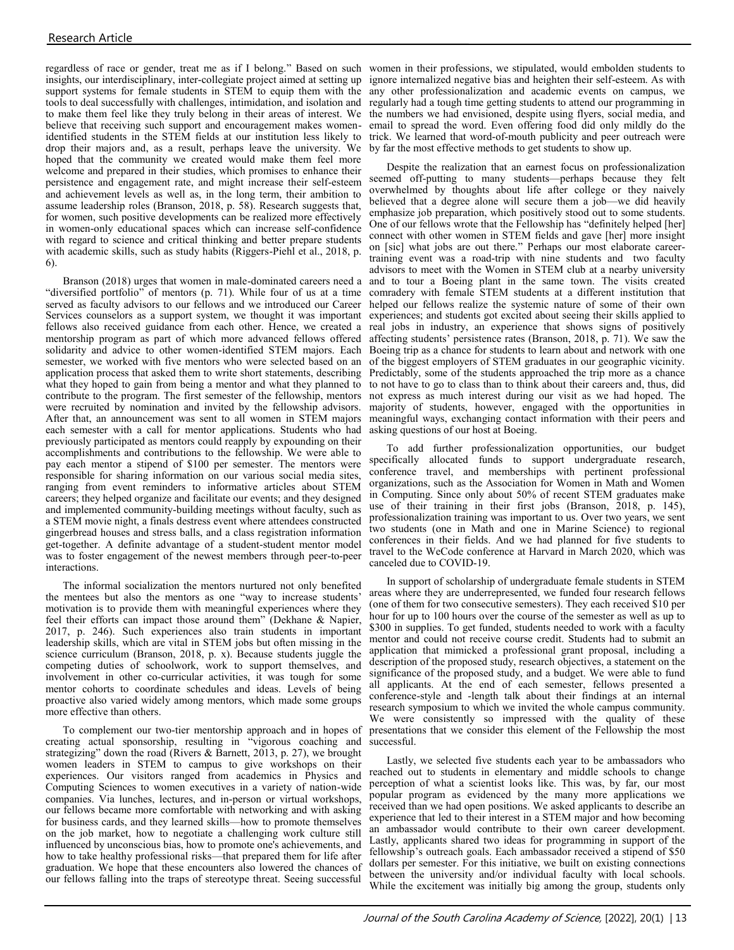insights, our interdisciplinary, inter-collegiate project aimed at setting up support systems for female students in STEM to equip them with the tools to deal successfully with challenges, intimidation, and isolation and believe that receiving such support and encouragement makes womenidentified students in the STEM fields at our institution less likely to drop their majors and, as a result, perhaps leave the university. We hoped that the community we created would make them feel more welcome and prepared in their studies, which promises to enhance their persistence and engagement rate, and might increase their self-esteem and achievement levels as well as, in the long term, their ambition to assume leadership roles (Branson, 2018, p. 58). Research suggests that, for women, such positive developments can be realized more effectively in women-only educational spaces which can increase self-confidence with regard to science and critical thinking and better prepare students with academic skills, such as study habits (Riggers-Piehl et al., 2018, p. 6).

Branson (2018) urges that women in male-dominated careers need a "diversified portfolio" of mentors (p. 71). While four of us at a time served as faculty advisors to our fellows and we introduced our Career Services counselors as a support system, we thought it was important fellows also received guidance from each other. Hence, we created a mentorship program as part of which more advanced fellows offered solidarity and advice to other women-identified STEM majors. Each semester, we worked with five mentors who were selected based on an application process that asked them to write short statements, describing what they hoped to gain from being a mentor and what they planned to contribute to the program. The first semester of the fellowship, mentors were recruited by nomination and invited by the fellowship advisors. After that, an announcement was sent to all women in STEM majors each semester with a call for mentor applications. Students who had previously participated as mentors could reapply by expounding on their accomplishments and contributions to the fellowship. We were able to pay each mentor a stipend of \$100 per semester. The mentors were responsible for sharing information on our various social media sites, ranging from event reminders to informative articles about STEM careers; they helped organize and facilitate our events; and they designed and implemented community-building meetings without faculty, such as a STEM movie night, a finals destress event where attendees constructed gingerbread houses and stress balls, and a class registration information get-together. A definite advantage of a student-student mentor model was to foster engagement of the newest members through peer-to-peer interactions.

The informal socialization the mentors nurtured not only benefited the mentees but also the mentors as one "way to increase students' motivation is to provide them with meaningful experiences where they feel their efforts can impact those around them" (Dekhane & Napier, 2017, p. 246). Such experiences also train students in important leadership skills, which are vital in STEM jobs but often missing in the science curriculum (Branson, 2018, p. x). Because students juggle the competing duties of schoolwork, work to support themselves, and involvement in other co-curricular activities, it was tough for some mentor cohorts to coordinate schedules and ideas. Levels of being proactive also varied widely among mentors, which made some groups more effective than others.

To complement our two-tier mentorship approach and in hopes of creating actual sponsorship, resulting in "vigorous coaching and strategizing" down the road (Rivers & Barnett, 2013, p. 27), we brought women leaders in STEM to campus to give workshops on their experiences. Our visitors ranged from academics in Physics and Computing Sciences to women executives in a variety of nation-wide companies. Via lunches, lectures, and in-person or virtual workshops, our fellows became more comfortable with networking and with asking for business cards, and they learned skills—how to promote themselves on the job market, how to negotiate a challenging work culture still influenced by unconscious bias, how to promote one's achievements, and how to take healthy professional risks—that prepared them for life after graduation. We hope that these encounters also lowered the chances of our fellows falling into the traps of stereotype threat. Seeing successful

regardless of race or gender, treat me as if I belong." Based on such women in their professions, we stipulated, would embolden students to to make them feel like they truly belong in their areas of interest. We the numbers we had envisioned, despite using flyers, social media, and ignore internalized negative bias and heighten their self-esteem. As with any other professionalization and academic events on campus, we regularly had a tough time getting students to attend our programming in email to spread the word. Even offering food did only mildly do the trick. We learned that word-of-mouth publicity and peer outreach were by far the most effective methods to get students to show up.

> Despite the realization that an earnest focus on professionalization seemed off-putting to many students—perhaps because they felt overwhelmed by thoughts about life after college or they naively believed that a degree alone will secure them a job—we did heavily emphasize job preparation, which positively stood out to some students. One of our fellows wrote that the Fellowship has "definitely helped [her] connect with other women in STEM fields and gave [her] more insight on [sic] what jobs are out there." Perhaps our most elaborate careertraining event was a road-trip with nine students and two faculty advisors to meet with the Women in STEM club at a nearby university and to tour a Boeing plant in the same town. The visits created comradery with female STEM students at a different institution that helped our fellows realize the systemic nature of some of their own experiences; and students got excited about seeing their skills applied to real jobs in industry, an experience that shows signs of positively affecting students' persistence rates (Branson, 2018, p. 71). We saw the Boeing trip as a chance for students to learn about and network with one of the biggest employers of STEM graduates in our geographic vicinity. Predictably, some of the students approached the trip more as a chance to not have to go to class than to think about their careers and, thus, did not express as much interest during our visit as we had hoped. The majority of students, however, engaged with the opportunities in meaningful ways, exchanging contact information with their peers and asking questions of our host at Boeing.

> To add further professionalization opportunities, our budget specifically allocated funds to support undergraduate research, conference travel, and memberships with pertinent professional organizations, such as the Association for Women in Math and Women in Computing. Since only about 50% of recent STEM graduates make use of their training in their first jobs (Branson, 2018, p. 145), professionalization training was important to us. Over two years, we sent two students (one in Math and one in Marine Science) to regional conferences in their fields. And we had planned for five students to travel to the WeCode conference at Harvard in March 2020, which was canceled due to COVID-19.

> In support of scholarship of undergraduate female students in STEM areas where they are underrepresented, we funded four research fellows (one of them for two consecutive semesters). They each received \$10 per hour for up to 100 hours over the course of the semester as well as up to \$300 in supplies. To get funded, students needed to work with a faculty mentor and could not receive course credit. Students had to submit an application that mimicked a professional grant proposal, including a description of the proposed study, research objectives, a statement on the significance of the proposed study, and a budget. We were able to fund all applicants. At the end of each semester, fellows presented a conference-style and -length talk about their findings at an internal research symposium to which we invited the whole campus community. We were consistently so impressed with the quality of these presentations that we consider this element of the Fellowship the most successful.

> Lastly, we selected five students each year to be ambassadors who reached out to students in elementary and middle schools to change perception of what a scientist looks like. This was, by far, our most popular program as evidenced by the many more applications we received than we had open positions. We asked applicants to describe an experience that led to their interest in a STEM major and how becoming an ambassador would contribute to their own career development. Lastly, applicants shared two ideas for programming in support of the fellowship's outreach goals. Each ambassador received a stipend of \$50 dollars per semester. For this initiative, we built on existing connections between the university and/or individual faculty with local schools. While the excitement was initially big among the group, students only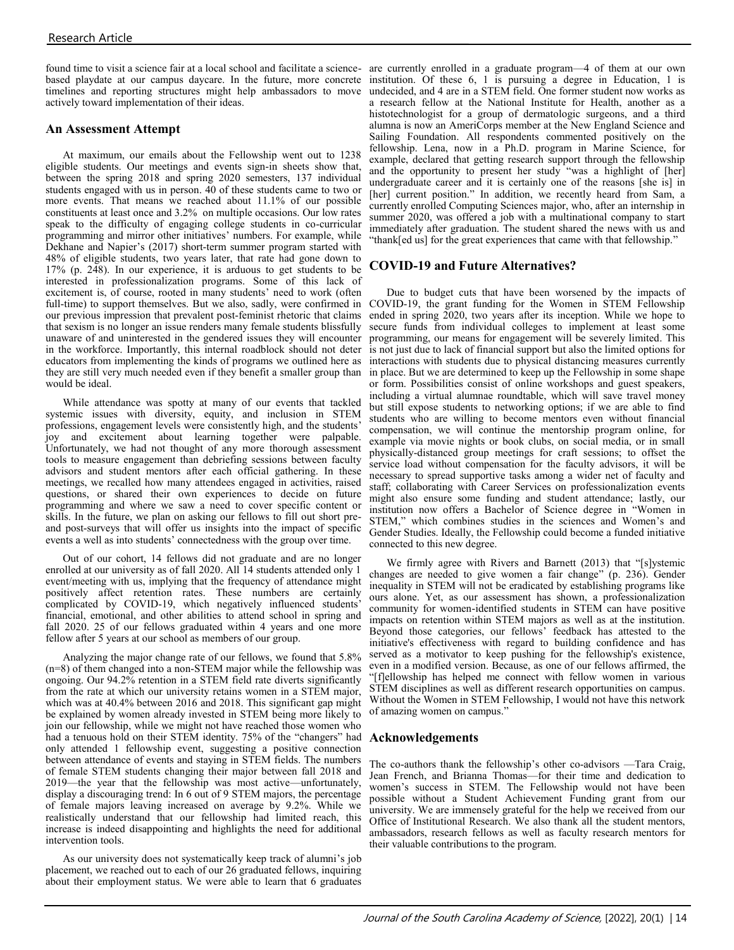found time to visit a science fair at a local school and facilitate a science-are currently enrolled in a graduate program—4 of them at our own based playdate at our campus daycare. In the future, more concrete institution. Of these 6, 1 is pursuing a degree in Education, 1 is timelines and reporting structures might help ambassadors to move undecided, and 4 are in a STEM field. One former student now works as actively toward implementation of their ideas.

### **An Assessment Attempt**

At maximum, our emails about the Fellowship went out to 1238 eligible students. Our meetings and events sign-in sheets show that, between the spring 2018 and spring 2020 semesters, 137 individual students engaged with us in person. 40 of these students came to two or more events. That means we reached about 11.1% of our possible constituents at least once and 3.2% on multiple occasions. Our low rates speak to the difficulty of engaging college students in co-curricular programming and mirror other initiatives' numbers. For example, while Dekhane and Napier's (2017) short-term summer program started with 48% of eligible students, two years later, that rate had gone down to 17% (p. 248). In our experience, it is arduous to get students to be interested in professionalization programs. Some of this lack of excitement is, of course, rooted in many students' need to work (often full-time) to support themselves. But we also, sadly, were confirmed in our previous impression that prevalent post-feminist rhetoric that claims that sexism is no longer an issue renders many female students blissfully unaware of and uninterested in the gendered issues they will encounter in the workforce. Importantly, this internal roadblock should not deter educators from implementing the kinds of programs we outlined here as they are still very much needed even if they benefit a smaller group than would be ideal.

While attendance was spotty at many of our events that tackled systemic issues with diversity, equity, and inclusion in STEM professions, engagement levels were consistently high, and the students' joy and excitement about learning together were palpable. Unfortunately, we had not thought of any more thorough assessment tools to measure engagement than debriefing sessions between faculty advisors and student mentors after each official gathering. In these meetings, we recalled how many attendees engaged in activities, raised questions, or shared their own experiences to decide on future programming and where we saw a need to cover specific content or skills. In the future, we plan on asking our fellows to fill out short preand post-surveys that will offer us insights into the impact of specific events a well as into students' connectedness with the group over time.

Out of our cohort, 14 fellows did not graduate and are no longer enrolled at our university as of fall 2020. All 14 students attended only 1 event/meeting with us, implying that the frequency of attendance might positively affect retention rates. These numbers are certainly complicated by COVID-19, which negatively influenced students' financial, emotional, and other abilities to attend school in spring and fall 2020. 25 of our fellows graduated within 4 years and one more fellow after 5 years at our school as members of our group.

Analyzing the major change rate of our fellows, we found that 5.8% (n=8) of them changed into a non-STEM major while the fellowship was ongoing. Our 94.2% retention in a STEM field rate diverts significantly from the rate at which our university retains women in a STEM major, which was at 40.4% between 2016 and 2018. This significant gap might be explained by women already invested in STEM being more likely to join our fellowship, while we might not have reached those women who had a tenuous hold on their STEM identity. 75% of the "changers" had **Acknowledgements**  only attended 1 fellowship event, suggesting a positive connection between attendance of events and staying in STEM fields. The numbers of female STEM students changing their major between fall 2018 and 2019—the year that the fellowship was most active—unfortunately, display a discouraging trend: In 6 out of 9 STEM majors, the percentage of female majors leaving increased on average by 9.2%. While we realistically understand that our fellowship had limited reach, this increase is indeed disappointing and highlights the need for additional intervention tools.

As our university does not systematically keep track of alumni's job placement, we reached out to each of our 26 graduated fellows, inquiring about their employment status. We were able to learn that 6 graduates

a research fellow at the National Institute for Health, another as a histotechnologist for a group of dermatologic surgeons, and a third alumna is now an AmeriCorps member at the New England Science and Sailing Foundation. All respondents commented positively on the fellowship. Lena, now in a Ph.D. program in Marine Science, for example, declared that getting research support through the fellowship and the opportunity to present her study "was a highlight of [her] undergraduate career and it is certainly one of the reasons [she is] in [her] current position." In addition, we recently heard from Sam, a currently enrolled Computing Sciences major, who, after an internship in summer 2020, was offered a job with a multinational company to start immediately after graduation. The student shared the news with us and "thank[ed us] for the great experiences that came with that fellowship."

### **COVID-19 and Future Alternatives?**

Due to budget cuts that have been worsened by the impacts of COVID-19, the grant funding for the Women in STEM Fellowship ended in spring 2020, two years after its inception. While we hope to secure funds from individual colleges to implement at least some programming, our means for engagement will be severely limited. This is not just due to lack of financial support but also the limited options for interactions with students due to physical distancing measures currently in place. But we are determined to keep up the Fellowship in some shape or form. Possibilities consist of online workshops and guest speakers, including a virtual alumnae roundtable, which will save travel money but still expose students to networking options; if we are able to find students who are willing to become mentors even without financial compensation, we will continue the mentorship program online, for example via movie nights or book clubs, on social media, or in small physically-distanced group meetings for craft sessions; to offset the service load without compensation for the faculty advisors, it will be necessary to spread supportive tasks among a wider net of faculty and staff; collaborating with Career Services on professionalization events might also ensure some funding and student attendance; lastly, our institution now offers a Bachelor of Science degree in "Women in STEM," which combines studies in the sciences and Women's and Gender Studies. Ideally, the Fellowship could become a funded initiative connected to this new degree.

We firmly agree with Rivers and Barnett (2013) that "[s]ystemic changes are needed to give women a fair change" (p. 236). Gender inequality in STEM will not be eradicated by establishing programs like ours alone. Yet, as our assessment has shown, a professionalization community for women-identified students in STEM can have positive impacts on retention within STEM majors as well as at the institution. Beyond those categories, our fellows' feedback has attested to the initiative's effectiveness with regard to building confidence and has served as a motivator to keep pushing for the fellowship's existence, even in a modified version. Because, as one of our fellows affirmed, the "[f]ellowship has helped me connect with fellow women in various STEM disciplines as well as different research opportunities on campus. Without the Women in STEM Fellowship, I would not have this network of amazing women on campus."

The co-authors thank the fellowship's other co-advisors —Tara Craig, Jean French, and Brianna Thomas—for their time and dedication to women's success in STEM. The Fellowship would not have been possible without a Student Achievement Funding grant from our university. We are immensely grateful for the help we received from our Office of Institutional Research. We also thank all the student mentors, ambassadors, research fellows as well as faculty research mentors for their valuable contributions to the program.